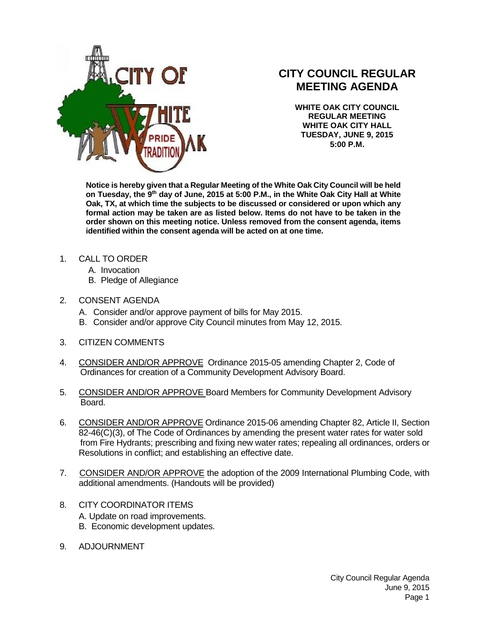

## **CITY COUNCIL REGULAR MEETING AGENDA**

**WHITE OAK CITY COUNCIL REGULAR MEETING WHITE OAK CITY HALL TUESDAY, JUNE 9, 2015 5:00 P.M.**

**Notice is hereby given that a Regular Meeting of the White Oak City Council will be held on Tuesday, the 9 th day of June, 2015 at 5:00 P.M., in the White Oak City Hall at White Oak, TX, at which time the subjects to be discussed or considered or upon which any formal action may be taken are as listed below. Items do not have to be taken in the order shown on this meeting notice. Unless removed from the consent agenda, items identified within the consent agenda will be acted on at one time.**

- 1. CALL TO ORDER
	- A. Invocation
	- B. Pledge of Allegiance
- 2. CONSENT AGENDA
	- A. Consider and/or approve payment of bills for May 2015.
	- B. Consider and/or approve City Council minutes from May 12, 2015.
- 3. CITIZEN COMMENTS
- 4. CONSIDER AND/OR APPROVE Ordinance 2015-05 amending Chapter 2, Code of Ordinances for creation of a Community Development Advisory Board.
- 5. CONSIDER AND/OR APPROVE Board Members for Community Development Advisory Board.
- 6. CONSIDER AND/OR APPROVE Ordinance 2015-06 amending Chapter 82, Article II, Section 82-46(C)(3), of The Code of Ordinances by amending the present water rates for water sold from Fire Hydrants; prescribing and fixing new water rates; repealing all ordinances, orders or Resolutions in conflict; and establishing an effective date.
- 7. CONSIDER AND/OR APPROVE the adoption of the 2009 International Plumbing Code, with additional amendments. (Handouts will be provided)
- 8. CITY COORDINATOR ITEMS A. Update on road improvements. B. Economic development updates.
- 9. ADJOURNMENT